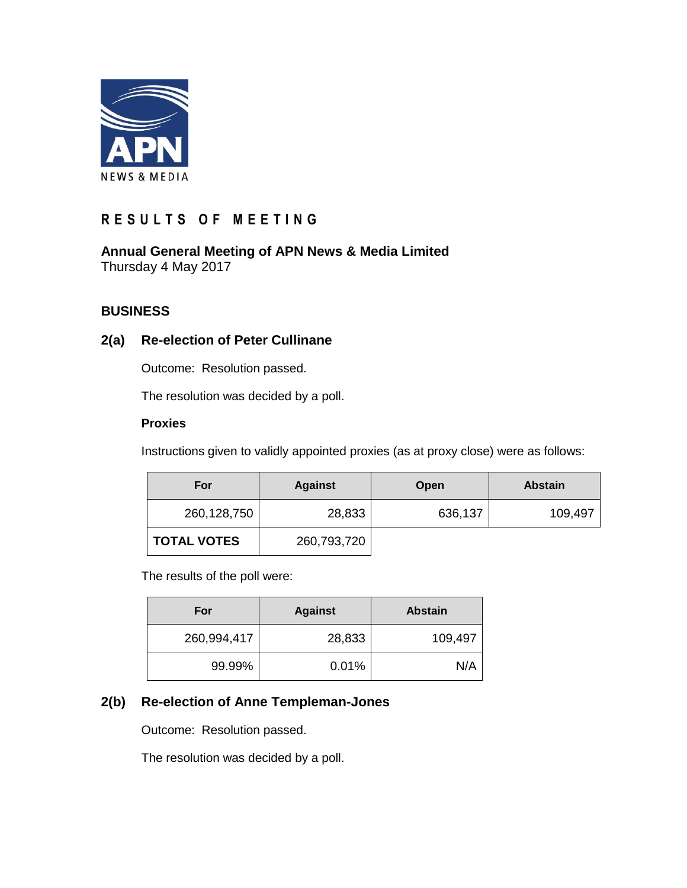

# **R E S U L T S O F M E E T I N G**

**Annual General Meeting of APN News & Media Limited** Thursday 4 May 2017

## **BUSINESS**

## **2(a) Re-election of Peter Cullinane**

Outcome: Resolution passed.

The resolution was decided by a poll.

#### **Proxies**

Instructions given to validly appointed proxies (as at proxy close) were as follows:

| For                | <b>Against</b> | Open    | <b>Abstain</b> |
|--------------------|----------------|---------|----------------|
| 260,128,750        | 28,833         | 636,137 | 109,497        |
| <b>TOTAL VOTES</b> | 260,793,720    |         |                |

The results of the poll were:

| For         | <b>Against</b> | <b>Abstain</b> |
|-------------|----------------|----------------|
| 260,994,417 | 28,833         | 109,497        |
| 99.99%      | 0.01%          | N/A            |

## **2(b) Re-election of Anne Templeman-Jones**

Outcome: Resolution passed.

The resolution was decided by a poll.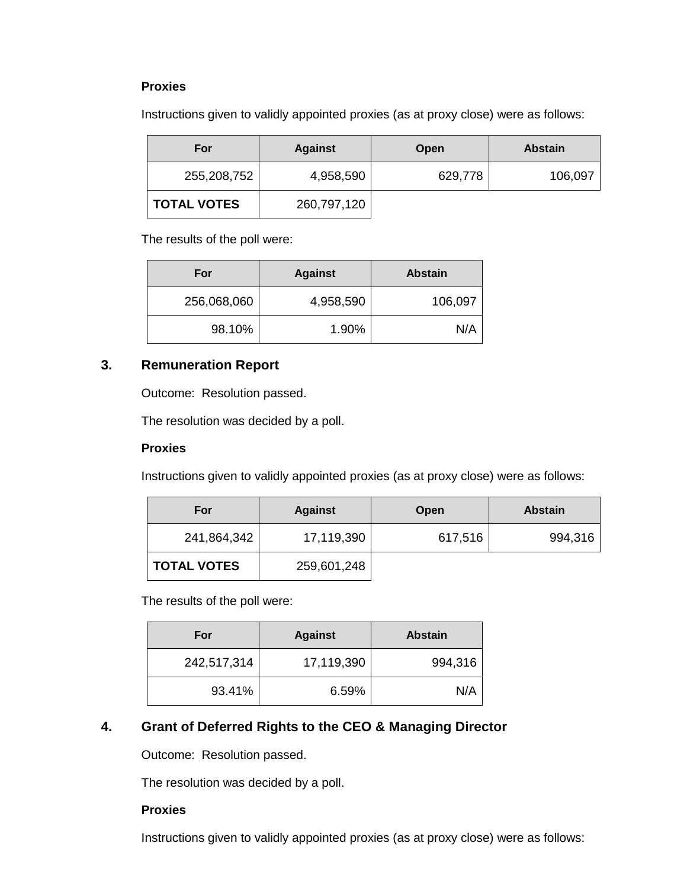#### **Proxies**

Instructions given to validly appointed proxies (as at proxy close) were as follows:

| For                | <b>Against</b> | Open    | <b>Abstain</b> |
|--------------------|----------------|---------|----------------|
| 255,208,752        | 4,958,590      | 629,778 | 106,097        |
| <b>TOTAL VOTES</b> | 260,797,120    |         |                |

The results of the poll were:

| For         | <b>Against</b> | <b>Abstain</b> |
|-------------|----------------|----------------|
| 256,068,060 | 4,958,590      | 106,097        |
| 98.10%      | 1.90%          | N/A            |

### **3. Remuneration Report**

Outcome: Resolution passed.

The resolution was decided by a poll.

#### **Proxies**

Instructions given to validly appointed proxies (as at proxy close) were as follows:

| For                | <b>Against</b> | Open    | <b>Abstain</b> |
|--------------------|----------------|---------|----------------|
| 241,864,342        | 17,119,390     | 617,516 | 994,316        |
| <b>TOTAL VOTES</b> | 259,601,248    |         |                |

The results of the poll were:

| For         | <b>Against</b> | <b>Abstain</b> |
|-------------|----------------|----------------|
| 242,517,314 | 17,119,390     | 994,316        |
| 93.41%      | 6.59%          | N/A            |

## **4. Grant of Deferred Rights to the CEO & Managing Director**

Outcome: Resolution passed.

The resolution was decided by a poll.

#### **Proxies**

Instructions given to validly appointed proxies (as at proxy close) were as follows: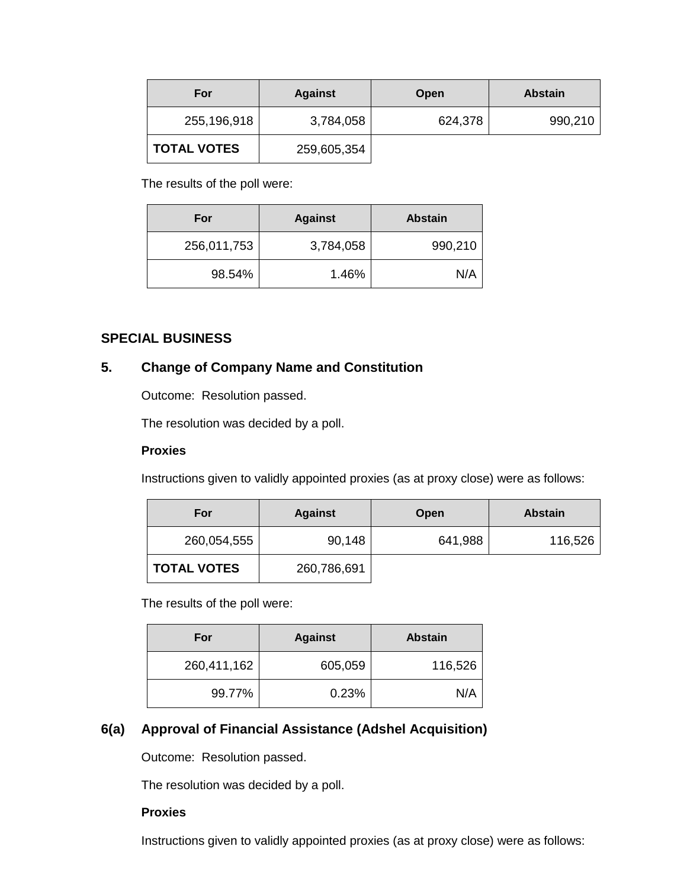| For                | <b>Against</b> | Open    | <b>Abstain</b> |
|--------------------|----------------|---------|----------------|
| 255,196,918        | 3,784,058      | 624,378 | 990,210        |
| <b>TOTAL VOTES</b> | 259,605,354    |         |                |

The results of the poll were:

| For         | <b>Against</b> | <b>Abstain</b> |
|-------------|----------------|----------------|
| 256,011,753 | 3,784,058      | 990,210        |
| 98.54%      | 1.46%          | N/A            |

## **SPECIAL BUSINESS**

## **5. Change of Company Name and Constitution**

Outcome: Resolution passed.

The resolution was decided by a poll.

#### **Proxies**

Instructions given to validly appointed proxies (as at proxy close) were as follows:

| For                | <b>Against</b> | Open    | <b>Abstain</b> |
|--------------------|----------------|---------|----------------|
| 260,054,555        | 90,148         | 641,988 | 116,526        |
| <b>TOTAL VOTES</b> | 260,786,691    |         |                |

The results of the poll were:

| For         | <b>Against</b> | <b>Abstain</b> |
|-------------|----------------|----------------|
| 260,411,162 | 605,059        | 116,526        |
| 99.77%      | 0.23%          | N/A            |

## **6(a) Approval of Financial Assistance (Adshel Acquisition)**

Outcome: Resolution passed.

The resolution was decided by a poll.

## **Proxies**

Instructions given to validly appointed proxies (as at proxy close) were as follows: